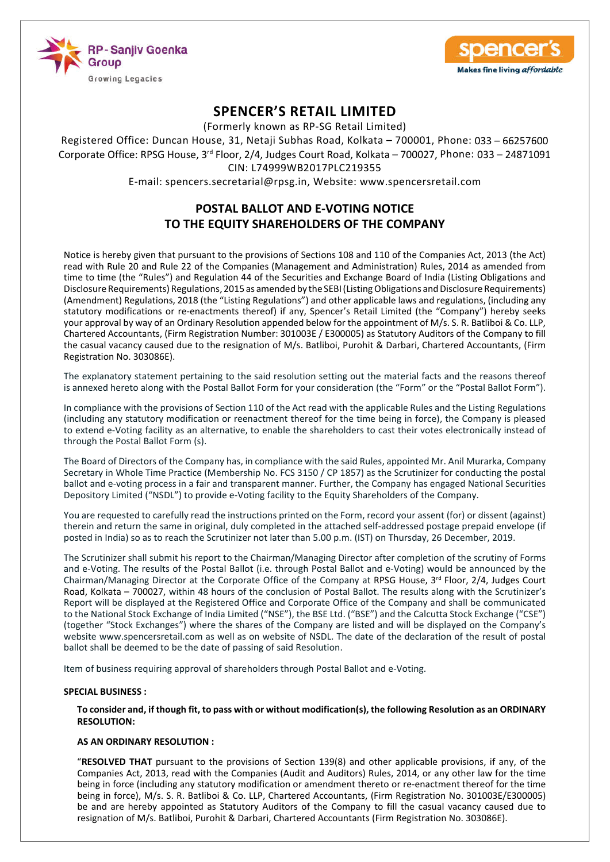



(Formerly known as RP-SG Retail Limited)

Registered Office: Duncan House, 31, Netaji Subhas Road, Kolkata – 700001, Phone: 033 – 66257600 Corporate Office: RPSG House, 3<sup>rd</sup> Floor, 2/4, Judges Court Road, Kolkata - 700027, Phone: 033 - 24871091 CIN: L74999WB2017PLC219355

E-mail: spencers.secretarial@rpsg.in, Website: www.spencersretail.com

# **POSTAL BALLOT AND E-VOTING NOTICE TO THE EQUITY SHAREHOLDERS OF THE COMPANY**

Notice is hereby given that pursuant to the provisions of Sections 108 and 110 of the Companies Act, 2013 (the Act) read with Rule 20 and Rule 22 of the Companies (Management and Administration) Rules, 2014 as amended from time to time (the "Rules") and Regulation 44 of the Securities and Exchange Board of India (Listing Obligations and Disclosure Requirements) Regulations, 2015 as amended by the SEBI (Listing Obligations and Disclosure Requirements) (Amendment) Regulations, 2018 (the "Listing Regulations") and other applicable laws and regulations, (including any statutory modifications or re-enactments thereof) if any, Spencer's Retail Limited (the "Company") hereby seeks your approval by way of an Ordinary Resolution appended below for the appointment of M/s. S. R. Batliboi & Co. LLP, Chartered Accountants, (Firm Registration Number: 301003E / E300005) as Statutory Auditors of the Company to fill the casual vacancy caused due to the resignation of M/s. Batliboi, Purohit & Darbari, Chartered Accountants, (Firm Registration No. 303086E).

The explanatory statement pertaining to the said resolution setting out the material facts and the reasons thereof is annexed hereto along with the Postal Ballot Form for your consideration (the "Form" or the "Postal Ballot Form").

In compliance with the provisions of Section 110 of the Act read with the applicable Rules and the Listing Regulations (including any statutory modification or reenactment thereof for the time being in force), the Company is pleased to extend e-Voting facility as an alternative, to enable the shareholders to cast their votes electronically instead of through the Postal Ballot Form (s).

The Board of Directors of the Company has, in compliance with the said Rules, appointed Mr. Anil Murarka, Company Secretary in Whole Time Practice (Membership No. FCS 3150 / CP 1857) as the Scrutinizer for conducting the postal ballot and e-voting process in a fair and transparent manner. Further, the Company has engaged National Securities Depository Limited ("NSDL") to provide e-Voting facility to the Equity Shareholders of the Company.

You are requested to carefully read the instructions printed on the Form, record your assent (for) or dissent (against) therein and return the same in original, duly completed in the attached self-addressed postage prepaid envelope (if posted in India) so as to reach the Scrutinizer not later than 5.00 p.m. (IST) on Thursday, 26 December, 2019.

The Scrutinizer shall submit his report to the Chairman/Managing Director after completion of the scrutiny of Forms and e-Voting. The results of the Postal Ballot (i.e. through Postal Ballot and e-Voting) would be announced by the Chairman/Managing Director at the Corporate Office of the Company at RPSG House, 3rd Floor, 2/4, Judges Court Road, Kolkata – 700027, within 48 hours of the conclusion of Postal Ballot. The results along with the Scrutinizer's Report will be displayed at the Registered Office and Corporate Office of the Company and shall be communicated to the National Stock Exchange of India Limited ("NSE"), the BSE Ltd. ("BSE") and the Calcutta Stock Exchange ("CSE") (together "Stock Exchanges") where the shares of the Company are listed and will be displayed on the Company's website www.spencersretail.com as well as on website of NSDL. The date of the declaration of the result of postal ballot shall be deemed to be the date of passing of said Resolution.

Item of business requiring approval of shareholders through Postal Ballot and e-Voting.

### **SPECIAL BUSINESS :**

 **To consider and, if though fit, to pass with or without modification(s), the following Resolution as an ORDINARY RESOLUTION:**

### **AS AN ORDINARY RESOLUTION :**

 "**RESOLVED THAT** pursuant to the provisions of Section 139(8) and other applicable provisions, if any, of the Companies Act, 2013, read with the Companies (Audit and Auditors) Rules, 2014, or any other law for the time being in force (including any statutory modification or amendment thereto or re-enactment thereof for the time being in force), M/s. S. R. Batliboi & Co. LLP, Chartered Accountants, (Firm Registration No. 301003E/E300005) be and are hereby appointed as Statutory Auditors of the Company to fill the casual vacancy caused due to resignation of M/s. Batliboi, Purohit & Darbari, Chartered Accountants (Firm Registration No. 303086E).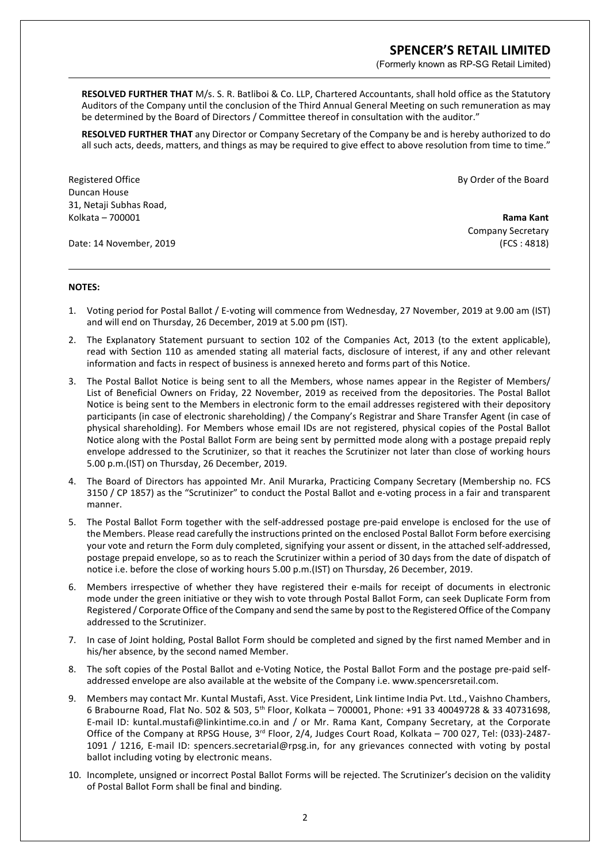(Formerly known as RP-SG Retail Limited)

**RESOLVED FURTHER THAT** M/s. S. R. Batliboi & Co. LLP, Chartered Accountants, shall hold office as the Statutory Auditors of the Company until the conclusion of the Third Annual General Meeting on such remuneration as may be determined by the Board of Directors / Committee thereof in consultation with the auditor."

**RESOLVED FURTHER THAT** any Director or Company Secretary of the Company be and is hereby authorized to do all such acts, deeds, matters, and things as may be required to give effect to above resolution from time to time."

Registered Office **By Order of the Board** Duncan House 31, Netaji Subhas Road, Kolkata – 700001 **Rama Kant**

Date: 14 November, 2019 (FCS : 4818)

Company Secretary

### **NOTES:**

- 1. Voting period for Postal Ballot / E-voting will commence from Wednesday, 27 November, 2019 at 9.00 am (IST) and will end on Thursday, 26 December, 2019 at 5.00 pm (IST).
- 2. The Explanatory Statement pursuant to section 102 of the Companies Act, 2013 (to the extent applicable), read with Section 110 as amended stating all material facts, disclosure of interest, if any and other relevant information and facts in respect of business is annexed hereto and forms part of this Notice.
- 3. The Postal Ballot Notice is being sent to all the Members, whose names appear in the Register of Members/ List of Beneficial Owners on Friday, 22 November, 2019 as received from the depositories. The Postal Ballot Notice is being sent to the Members in electronic form to the email addresses registered with their depository participants (in case of electronic shareholding) / the Company's Registrar and Share Transfer Agent (in case of physical shareholding). For Members whose email IDs are not registered, physical copies of the Postal Ballot Notice along with the Postal Ballot Form are being sent by permitted mode along with a postage prepaid reply envelope addressed to the Scrutinizer, so that it reaches the Scrutinizer not later than close of working hours 5.00 p.m.(IST) on Thursday, 26 December, 2019.
- 4. The Board of Directors has appointed Mr. Anil Murarka, Practicing Company Secretary (Membership no. FCS 3150 / CP 1857) as the "Scrutinizer" to conduct the Postal Ballot and e-voting process in a fair and transparent manner.
- 5. The Postal Ballot Form together with the self-addressed postage pre-paid envelope is enclosed for the use of the Members. Please read carefully the instructions printed on the enclosed Postal Ballot Form before exercising your vote and return the Form duly completed, signifying your assent or dissent, in the attached self-addressed, postage prepaid envelope, so as to reach the Scrutinizer within a period of 30 days from the date of dispatch of notice i.e. before the close of working hours 5.00 p.m.(IST) on Thursday, 26 December, 2019.
- 6. Members irrespective of whether they have registered their e-mails for receipt of documents in electronic mode under the green initiative or they wish to vote through Postal Ballot Form, can seek Duplicate Form from Registered / Corporate Office of the Company and send the same by post to the Registered Office of the Company addressed to the Scrutinizer.
- 7. In case of Joint holding, Postal Ballot Form should be completed and signed by the first named Member and in his/her absence, by the second named Member.
- 8. The soft copies of the Postal Ballot and e-Voting Notice, the Postal Ballot Form and the postage pre-paid selfaddressed envelope are also available at the website of the Company i.e. www.spencersretail.com.
- 9. Members may contact Mr. Kuntal Mustafi, Asst. Vice President, Link Iintime India Pvt. Ltd., Vaishno Chambers, 6 Brabourne Road, Flat No. 502 & 503, 5th Floor, Kolkata – 700001, Phone: +91 33 40049728 & 33 40731698, E-mail ID: kuntal.mustafi@linkintime.co.in and / or Mr. Rama Kant, Company Secretary, at the Corporate Office of the Company at RPSG House, 3<sup>rd</sup> Floor, 2/4, Judges Court Road, Kolkata – 700 027, Tel: (033)-2487-1091 / 1216, E-mail ID: spencers.secretarial@rpsg.in, for any grievances connected with voting by postal ballot including voting by electronic means.
- 10. Incomplete, unsigned or incorrect Postal Ballot Forms will be rejected. The Scrutinizer's decision on the validity of Postal Ballot Form shall be final and binding.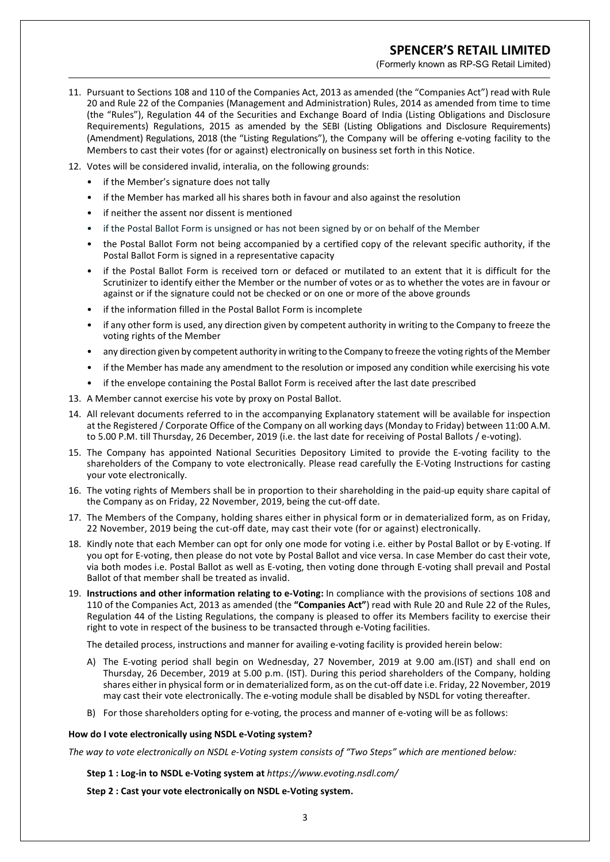(Formerly known as RP-SG Retail Limited)

- 11. Pursuant to Sections 108 and 110 of the Companies Act, 2013 as amended (the "Companies Act") read with Rule 20 and Rule 22 of the Companies (Management and Administration) Rules, 2014 as amended from time to time (the "Rules"), Regulation 44 of the Securities and Exchange Board of India (Listing Obligations and Disclosure Requirements) Regulations, 2015 as amended by the SEBI (Listing Obligations and Disclosure Requirements) (Amendment) Regulations, 2018 (the "Listing Regulations"), the Company will be offering e-voting facility to the Members to cast their votes (for or against) electronically on business set forth in this Notice.
- 12. Votes will be considered invalid, interalia, on the following grounds:
	- if the Member's signature does not tally
	- if the Member has marked all his shares both in favour and also against the resolution
	- if neither the assent nor dissent is mentioned
	- if the Postal Ballot Form is unsigned or has not been signed by or on behalf of the Member
	- the Postal Ballot Form not being accompanied by a certified copy of the relevant specific authority, if the Postal Ballot Form is signed in a representative capacity
	- if the Postal Ballot Form is received torn or defaced or mutilated to an extent that it is difficult for the Scrutinizer to identify either the Member or the number of votes or as to whether the votes are in favour or against or if the signature could not be checked or on one or more of the above grounds
	- if the information filled in the Postal Ballot Form is incomplete
	- if any other form is used, any direction given by competent authority in writing to the Company to freeze the voting rights of the Member
	- any direction given by competent authority in writing to the Company to freeze the voting rights of the Member
	- if the Member has made any amendment to the resolution or imposed any condition while exercising his vote
	- if the envelope containing the Postal Ballot Form is received after the last date prescribed
- 13. A Member cannot exercise his vote by proxy on Postal Ballot.
- 14. All relevant documents referred to in the accompanying Explanatory statement will be available for inspection at the Registered / Corporate Office of the Company on all working days (Monday to Friday) between 11:00 A.M. to 5.00 P.M. till Thursday, 26 December, 2019 (i.e. the last date for receiving of Postal Ballots / e-voting).
- 15. The Company has appointed National Securities Depository Limited to provide the E-voting facility to the shareholders of the Company to vote electronically. Please read carefully the E-Voting Instructions for casting your vote electronically.
- 16. The voting rights of Members shall be in proportion to their shareholding in the paid-up equity share capital of the Company as on Friday, 22 November, 2019, being the cut-off date.
- 17. The Members of the Company, holding shares either in physical form or in dematerialized form, as on Friday, 22 November, 2019 being the cut-off date, may cast their vote (for or against) electronically.
- 18. Kindly note that each Member can opt for only one mode for voting i.e. either by Postal Ballot or by E-voting. If you opt for E-voting, then please do not vote by Postal Ballot and vice versa. In case Member do cast their vote, via both modes i.e. Postal Ballot as well as E-voting, then voting done through E-voting shall prevail and Postal Ballot of that member shall be treated as invalid.
- 19. **Instructions and other information relating to e-Voting:** In compliance with the provisions of sections 108 and 110 of the Companies Act, 2013 as amended (the **"Companies Act"**) read with Rule 20 and Rule 22 of the Rules, Regulation 44 of the Listing Regulations, the company is pleased to offer its Members facility to exercise their right to vote in respect of the business to be transacted through e-Voting facilities.

The detailed process, instructions and manner for availing e-voting facility is provided herein below:

- A) The E-voting period shall begin on Wednesday, 27 November, 2019 at 9.00 am.(IST) and shall end on Thursday, 26 December, 2019 at 5.00 p.m. (IST). During this period shareholders of the Company, holding shares either in physical form or in dematerialized form, as on the cut-off date i.e. Friday, 22 November, 2019 may cast their vote electronically. The e-voting module shall be disabled by NSDL for voting thereafter.
- B) For those shareholders opting for e-voting, the process and manner of e-voting will be as follows:

#### **How do I vote electronically using NSDL e-Voting system?**

*The way to vote electronically on NSDL e-Voting system consists of "Two Steps" which are mentioned below:*

**Step 1 : Log-in to NSDL e-Voting system at** *https://www.evoting.nsdl.com/*

**Step 2 : Cast your vote electronically on NSDL e-Voting system.**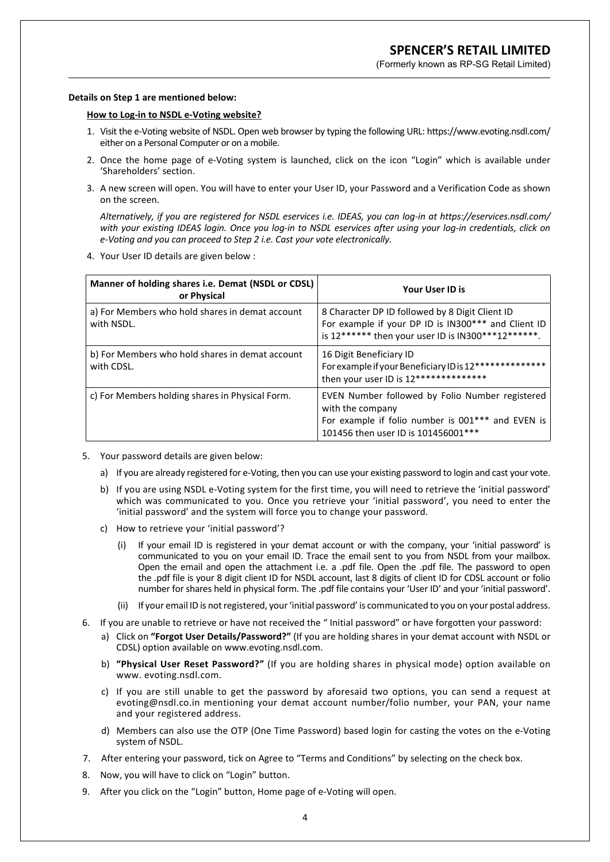(Formerly known as RP-SG Retail Limited)

#### **Details on Step 1 are mentioned below:**

#### **How to Log-in to NSDL e-Voting website?**

- 1. Visit the e-Voting website of NSDL. Open web browser by typing the following URL: https://www.evoting.nsdl.com/ either on a Personal Computer or on a mobile.
- 2. Once the home page of e-Voting system is launched, click on the icon "Login" which is available under 'Shareholders' section.
- 3. A new screen will open. You will have to enter your User ID, your Password and a Verification Code as shown on the screen.

 *Alternatively, if you are registered for NSDL eservices i.e. IDEAS, you can log-in at https://eservices.nsdl.com/ with your existing IDEAS login. Once you log-in to NSDL eservices after using your log-in credentials, click on e-Voting and you can proceed to Step 2 i.e. Cast your vote electronically.*

4. Your User ID details are given below :

| Manner of holding shares i.e. Demat (NSDL or CDSL)<br>or Physical | <b>Your User ID is</b>                                                                                                                                          |
|-------------------------------------------------------------------|-----------------------------------------------------------------------------------------------------------------------------------------------------------------|
| a) For Members who hold shares in demat account<br>with NSDL.     | 8 Character DP ID followed by 8 Digit Client ID<br>For example if your DP ID is IN300*** and Client ID<br>is 12****** then your user ID is IN300***12******.    |
| b) For Members who hold shares in demat account<br>with CDSL.     | 16 Digit Beneficiary ID<br>For example if your Beneficiary ID is 12**************<br>then your user ID is 12***************                                     |
| c) For Members holding shares in Physical Form.                   | EVEN Number followed by Folio Number registered<br>with the company<br>For example if folio number is 001*** and EVEN is<br>101456 then user ID is 101456001*** |

- 5. Your password details are given below:
	- a) If you are already registered for e-Voting, then you can use your existing password to login and cast your vote.
	- b) If you are using NSDL e-Voting system for the first time, you will need to retrieve the 'initial password' which was communicated to you. Once you retrieve your 'initial password', you need to enter the 'initial password' and the system will force you to change your password.
	- c) How to retrieve your 'initial password'?
		- If your email ID is registered in your demat account or with the company, your 'initial password' is communicated to you on your email ID. Trace the email sent to you from NSDL from your mailbox. Open the email and open the attachment i.e. a .pdf file. Open the .pdf file. The password to open the .pdf file is your 8 digit client ID for NSDL account, last 8 digits of client ID for CDSL account or folio number for shares held in physical form. The .pdf file contains your 'User ID' and your 'initial password'.
		- (ii) If your email ID is not registered, your 'initial password' is communicated to you on your postal address.
- 6. If you are unable to retrieve or have not received the " Initial password" or have forgotten your password:
	- a) Click on **"Forgot User Details/Password?"** (If you are holding shares in your demat account with NSDL or CDSL) option available on www.evoting.nsdl.com.
	- b) **"Physical User Reset Password?"** (If you are holding shares in physical mode) option available on www. evoting.nsdl.com.
	- c) If you are still unable to get the password by aforesaid two options, you can send a request at evoting@nsdl.co.in mentioning your demat account number/folio number, your PAN, your name and your registered address.
	- d) Members can also use the OTP (One Time Password) based login for casting the votes on the e-Voting system of NSDL.
- 7. After entering your password, tick on Agree to "Terms and Conditions" by selecting on the check box.
- 8. Now, you will have to click on "Login" button.
- 9. After you click on the "Login" button, Home page of e-Voting will open.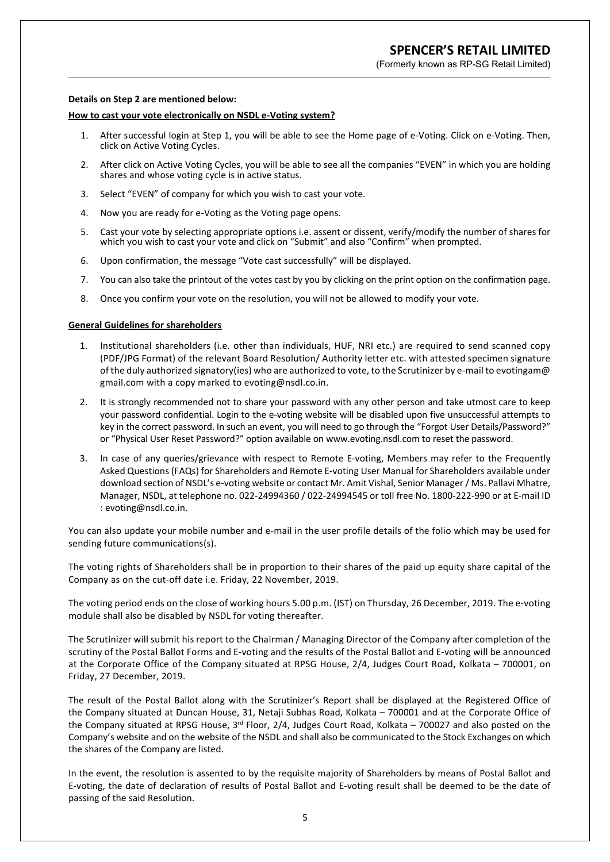(Formerly known as RP-SG Retail Limited)

#### **Details on Step 2 are mentioned below:**

#### **How to cast your vote electronically on NSDL e-Voting system?**

- 1. After successful login at Step 1, you will be able to see the Home page of e-Voting. Click on e-Voting. Then, click on Active Voting Cycles.
- 2. After click on Active Voting Cycles, you will be able to see all the companies "EVEN" in which you are holding shares and whose voting cycle is in active status.
- 3. Select "EVEN" of company for which you wish to cast your vote.
- 4. Now you are ready for e-Voting as the Voting page opens.
- 5. Cast your vote by selecting appropriate options i.e. assent or dissent, verify/modify the number of shares for which you wish to cast your vote and click on "Submit" and also "Confirm" when prompted.
- 6. Upon confirmation, the message "Vote cast successfully" will be displayed.
- 7. You can also take the printout of the votes cast by you by clicking on the print option on the confirmation page.
- 8. Once you confirm your vote on the resolution, you will not be allowed to modify your vote.

#### **General Guidelines for shareholders**

- 1. Institutional shareholders (i.e. other than individuals, HUF, NRI etc.) are required to send scanned copy (PDF/JPG Format) of the relevant Board Resolution/ Authority letter etc. with attested specimen signature of the duly authorized signatory(ies) who are authorized to vote, to the Scrutinizer by e-mail to evotingam@ gmail.com with a copy marked to evoting@nsdl.co.in.
- 2. It is strongly recommended not to share your password with any other person and take utmost care to keep your password confidential. Login to the e-voting website will be disabled upon five unsuccessful attempts to key in the correct password. In such an event, you will need to go through the "Forgot User Details/Password?" or "Physical User Reset Password?" option available on www.evoting.nsdl.com to reset the password.
- 3. In case of any queries/grievance with respect to Remote E-voting, Members may refer to the Frequently Asked Questions (FAQs) for Shareholders and Remote E-voting User Manual for Shareholders available under download section of NSDL's e-voting website or contact Mr. Amit Vishal, Senior Manager / Ms. Pallavi Mhatre, Manager, NSDL, at telephone no. 022-24994360 / 022-24994545 or toll free No. 1800-222-990 or at E-mail ID : evoting@nsdl.co.in.

You can also update your mobile number and e-mail in the user profile details of the folio which may be used for sending future communications(s).

The voting rights of Shareholders shall be in proportion to their shares of the paid up equity share capital of the Company as on the cut-off date i.e. Friday, 22 November, 2019.

The voting period ends on the close of working hours 5.00 p.m. (IST) on Thursday, 26 December, 2019. The e-voting module shall also be disabled by NSDL for voting thereafter.

The Scrutinizer will submit his report to the Chairman / Managing Director of the Company after completion of the scrutiny of the Postal Ballot Forms and E-voting and the results of the Postal Ballot and E-voting will be announced at the Corporate Office of the Company situated at RPSG House, 2/4, Judges Court Road, Kolkata – 700001, on Friday, 27 December, 2019.

The result of the Postal Ballot along with the Scrutinizer's Report shall be displayed at the Registered Office of the Company situated at Duncan House, 31, Netaji Subhas Road, Kolkata – 700001 and at the Corporate Office of the Company situated at RPSG House, 3<sup>rd</sup> Floor, 2/4, Judges Court Road, Kolkata – 700027 and also posted on the Company's website and on the website of the NSDL and shall also be communicated to the Stock Exchanges on which the shares of the Company are listed.

In the event, the resolution is assented to by the requisite majority of Shareholders by means of Postal Ballot and E-voting, the date of declaration of results of Postal Ballot and E-voting result shall be deemed to be the date of passing of the said Resolution.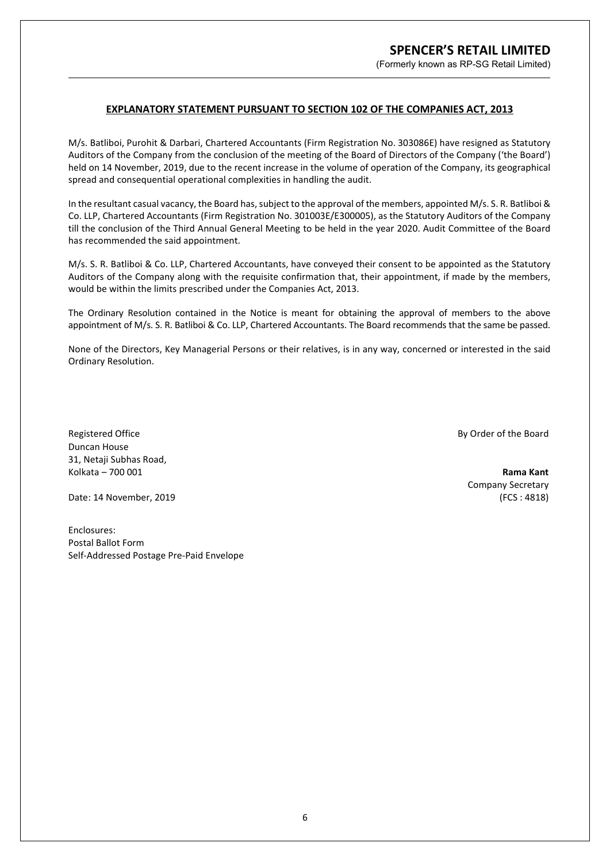(Formerly known as RP-SG Retail Limited)

### **EXPLANATORY STATEMENT PURSUANT TO SECTION 102 OF THE COMPANIES ACT, 2013**

M/s. Batliboi, Purohit & Darbari, Chartered Accountants (Firm Registration No. 303086E) have resigned as Statutory Auditors of the Company from the conclusion of the meeting of the Board of Directors of the Company ('the Board') held on 14 November, 2019, due to the recent increase in the volume of operation of the Company, its geographical spread and consequential operational complexities in handling the audit.

In the resultant casual vacancy, the Board has, subject to the approval of the members, appointed M/s. S. R. Batliboi & Co. LLP, Chartered Accountants (Firm Registration No. 301003E/E300005), as the Statutory Auditors of the Company till the conclusion of the Third Annual General Meeting to be held in the year 2020. Audit Committee of the Board has recommended the said appointment.

M/s. S. R. Batliboi & Co. LLP, Chartered Accountants, have conveyed their consent to be appointed as the Statutory Auditors of the Company along with the requisite confirmation that, their appointment, if made by the members, would be within the limits prescribed under the Companies Act, 2013.

The Ordinary Resolution contained in the Notice is meant for obtaining the approval of members to the above appointment of M/s. S. R. Batliboi & Co. LLP, Chartered Accountants. The Board recommends that the same be passed.

None of the Directors, Key Managerial Persons or their relatives, is in any way, concerned or interested in the said Ordinary Resolution.

Registered Office **By Order of the Board** Duncan House 31, Netaji Subhas Road, Kolkata – 700 001 **Rama Kant**

Date: 14 November, 2019 (FCS : 4818)

Company Secretary

Enclosures: Postal Ballot Form Self-Addressed Postage Pre-Paid Envelope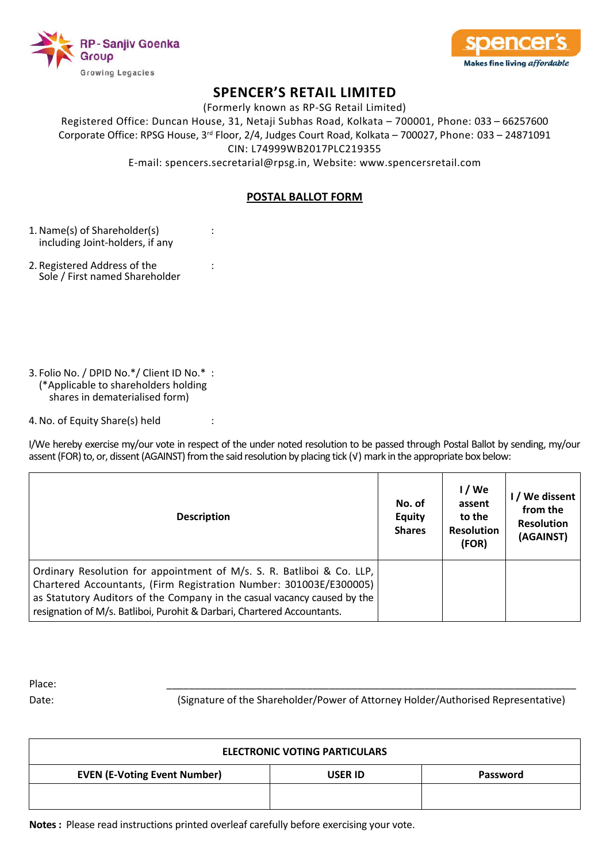



(Formerly known as RP-SG Retail Limited)

Registered Office: Duncan House, 31, Netaji Subhas Road, Kolkata – 700001, Phone: 033 – 66257600 Corporate Office: RPSG House, 3rd Floor, 2/4, Judges Court Road, Kolkata – 700027, Phone: 033 – 24871091 CIN: L74999WB2017PLC219355

E-mail: spencers.secretarial@rpsg.in, Website: www.spencersretail.com

## **POSTAL BALLOT FORM**

- 1. Name(s) of Shareholder(s) : including Joint-holders, if any
- 2. Registered Address of the : Sole / First named Shareholder
- 3. Folio No. / DPID No.\*/ Client ID No.\* : (\*Applicable to shareholders holding shares in dematerialised form)

4. No. of Equity Share(s) held :

I/We hereby exercise my/our vote in respect of the under noted resolution to be passed through Postal Ballot by sending, my/our assent (FOR) to, or, dissent (AGAINST) from the said resolution by placing tick (√) mark in the appropriate box below:

| <b>Description</b>                                                                                                                                                                                                                                                                                 | No. of<br><b>Equity</b><br><b>Shares</b> | 1/We<br>assent<br>to the<br><b>Resolution</b><br>(FOR) | I / We dissent<br>from the<br><b>Resolution</b><br>(AGAINST) |
|----------------------------------------------------------------------------------------------------------------------------------------------------------------------------------------------------------------------------------------------------------------------------------------------------|------------------------------------------|--------------------------------------------------------|--------------------------------------------------------------|
| Ordinary Resolution for appointment of M/s. S. R. Batliboi & Co. LLP,<br>Chartered Accountants, (Firm Registration Number: 301003E/E300005)<br>as Statutory Auditors of the Company in the casual vacancy caused by the<br>resignation of M/s. Batliboi, Purohit & Darbari, Chartered Accountants. |                                          |                                                        |                                                              |

Place: \_\_\_\_\_\_\_\_\_\_\_\_\_\_\_\_\_\_\_\_\_\_\_\_\_\_\_\_\_\_\_\_\_\_\_\_\_\_\_\_\_\_\_\_\_\_\_\_\_\_\_\_\_\_\_\_\_\_\_\_\_\_\_\_\_\_\_\_\_\_\_\_\_

Date: (Signature of the Shareholder/Power of Attorney Holder/Authorised Representative)

| <b>ELECTRONIC VOTING PARTICULARS</b> |          |  |  |
|--------------------------------------|----------|--|--|
| <b>USER ID</b>                       | Password |  |  |
|                                      |          |  |  |
|                                      |          |  |  |

**Notes :** Please read instructions printed overleaf carefully before exercising your vote.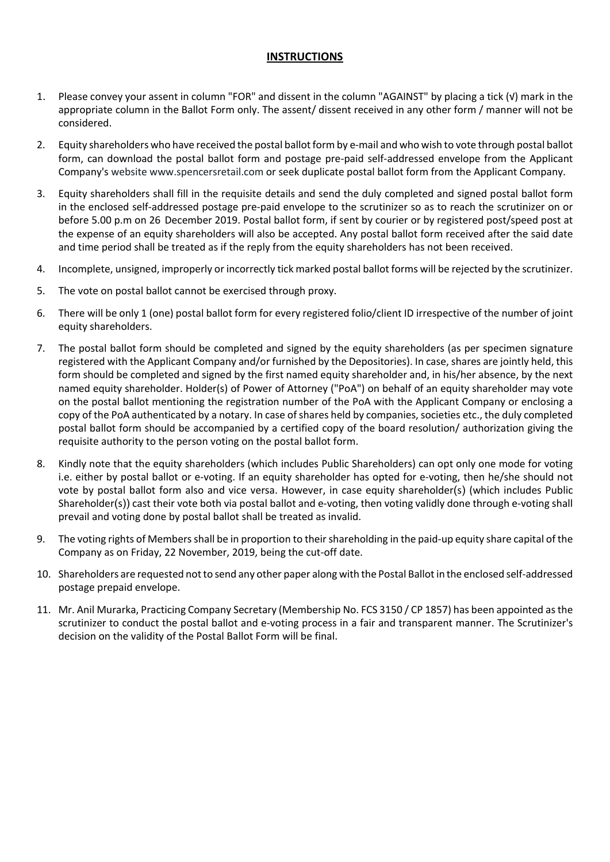### **INSTRUCTIONS**

- 1. Please convey your assent in column "FOR" and dissent in the column "AGAINST" by placing a tick (√) mark in the appropriate column in the Ballot Form only. The assent/ dissent received in any other form / manner will not be considered.
- 2. Equity shareholders who have received the postal ballot form by e-mail and who wish to vote through postal ballot form, can download the postal ballot form and postage pre-paid self-addressed envelope from the Applicant Company's website www.spencersretail.com or seek duplicate postal ballot form from the Applicant Company.
- 3. Equity shareholders shall fill in the requisite details and send the duly completed and signed postal ballot form in the enclosed self-addressed postage pre-paid envelope to the scrutinizer so as to reach the scrutinizer on or before 5.00 p.m on 26 December 2019. Postal ballot form, if sent by courier or by registered post/speed post at the expense of an equity shareholders will also be accepted. Any postal ballot form received after the said date and time period shall be treated as if the reply from the equity shareholders has not been received.
- 4. Incomplete, unsigned, improperly or incorrectly tick marked postal ballot forms will be rejected by the scrutinizer.
- 5. The vote on postal ballot cannot be exercised through proxy.
- 6. There will be only 1 (one) postal ballot form for every registered folio/client ID irrespective of the number of joint equity shareholders.
- 7. The postal ballot form should be completed and signed by the equity shareholders (as per specimen signature registered with the Applicant Company and/or furnished by the Depositories). In case, shares are jointly held, this form should be completed and signed by the first named equity shareholder and, in his/her absence, by the next named equity shareholder. Holder(s) of Power of Attorney ("PoA") on behalf of an equity shareholder may vote on the postal ballot mentioning the registration number of the PoA with the Applicant Company or enclosing a copy of the PoA authenticated by a notary. In case of shares held by companies, societies etc., the duly completed postal ballot form should be accompanied by a certified copy of the board resolution/ authorization giving the requisite authority to the person voting on the postal ballot form.
- 8. Kindly note that the equity shareholders (which includes Public Shareholders) can opt only one mode for voting i.e. either by postal ballot or e-voting. If an equity shareholder has opted for e-voting, then he/she should not vote by postal ballot form also and vice versa. However, in case equity shareholder(s) (which includes Public Shareholder(s)) cast their vote both via postal ballot and e-voting, then voting validly done through e-voting shall prevail and voting done by postal ballot shall be treated as invalid.
- 9. The voting rights of Members shall be in proportion to their shareholding in the paid-up equity share capital of the Company as on Friday, 22 November, 2019, being the cut-off date.
- 10. Shareholders are requested not to send any other paper along with the Postal Ballot in the enclosed self-addressed postage prepaid envelope.
- 11. Mr. Anil Murarka, Practicing Company Secretary (Membership No. FCS 3150 / CP 1857) has been appointed as the scrutinizer to conduct the postal ballot and e-voting process in a fair and transparent manner. The Scrutinizer's decision on the validity of the Postal Ballot Form will be final.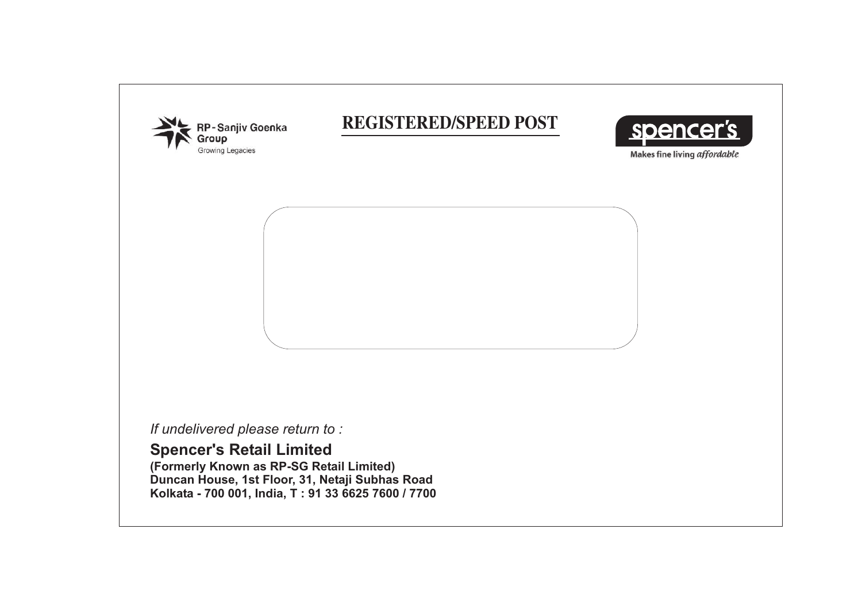